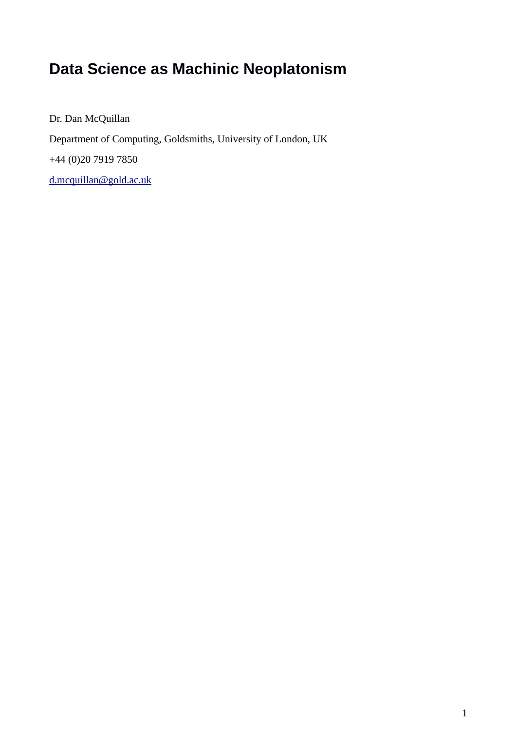# **Data Science as Machinic Neoplatonism**

Dr. Dan McQuillan Department of Computing, Goldsmiths, University of London, UK +44 (0)20 7919 7850 [d.mcquillan@gold.ac.uk](mailto:d.mcquillan@gold.ac.uk)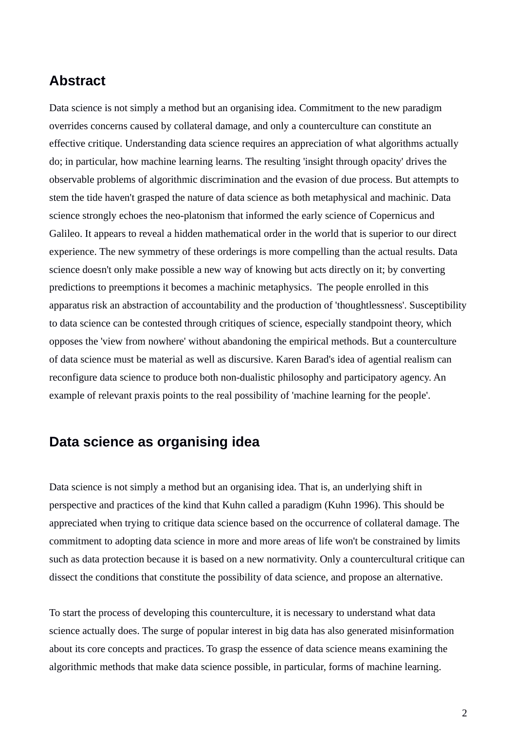## **Abstract**

Data science is not simply a method but an organising idea. Commitment to the new paradigm overrides concerns caused by collateral damage, and only a counterculture can constitute an effective critique. Understanding data science requires an appreciation of what algorithms actually do; in particular, how machine learning learns. The resulting 'insight through opacity' drives the observable problems of algorithmic discrimination and the evasion of due process. But attempts to stem the tide haven't grasped the nature of data science as both metaphysical and machinic. Data science strongly echoes the neo-platonism that informed the early science of Copernicus and Galileo. It appears to reveal a hidden mathematical order in the world that is superior to our direct experience. The new symmetry of these orderings is more compelling than the actual results. Data science doesn't only make possible a new way of knowing but acts directly on it; by converting predictions to preemptions it becomes a machinic metaphysics. The people enrolled in this apparatus risk an abstraction of accountability and the production of 'thoughtlessness'. Susceptibility to data science can be contested through critiques of science, especially standpoint theory, which opposes the 'view from nowhere' without abandoning the empirical methods. But a counterculture of data science must be material as well as discursive. Karen Barad's idea of agential realism can reconfigure data science to produce both non-dualistic philosophy and participatory agency. An example of relevant praxis points to the real possibility of 'machine learning for the people'.

## **Data science as organising idea**

Data science is not simply a method but an organising idea. That is, an underlying shift in perspective and practices of the kind that Kuhn called a paradigm (Kuhn 1996). This should be appreciated when trying to critique data science based on the occurrence of collateral damage. The commitment to adopting data science in more and more areas of life won't be constrained by limits such as data protection because it is based on a new normativity. Only a countercultural critique can dissect the conditions that constitute the possibility of data science, and propose an alternative.

To start the process of developing this counterculture, it is necessary to understand what data science actually does. The surge of popular interest in big data has also generated misinformation about its core concepts and practices. To grasp the essence of data science means examining the algorithmic methods that make data science possible, in particular, forms of machine learning.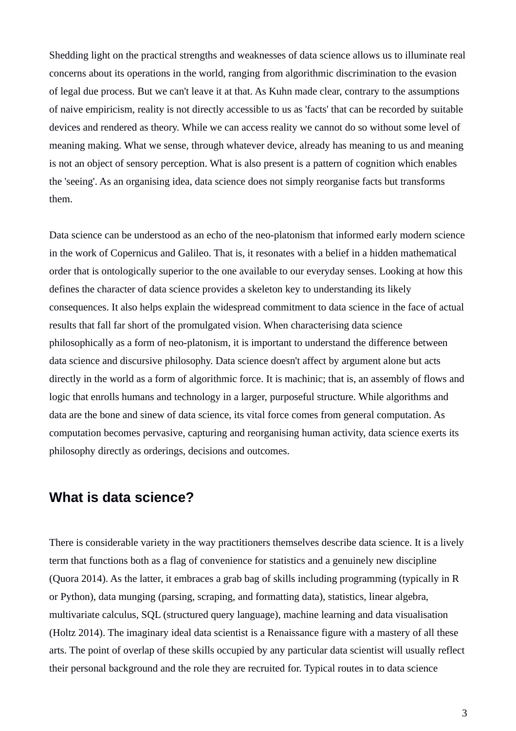Shedding light on the practical strengths and weaknesses of data science allows us to illuminate real concerns about its operations in the world, ranging from algorithmic discrimination to the evasion of legal due process. But we can't leave it at that. As Kuhn made clear, contrary to the assumptions of naive empiricism, reality is not directly accessible to us as 'facts' that can be recorded by suitable devices and rendered as theory. While we can access reality we cannot do so without some level of meaning making. What we sense, through whatever device, already has meaning to us and meaning is not an object of sensory perception. What is also present is a pattern of cognition which enables the 'seeing'. As an organising idea, data science does not simply reorganise facts but transforms them.

Data science can be understood as an echo of the neo-platonism that informed early modern science in the work of Copernicus and Galileo. That is, it resonates with a belief in a hidden mathematical order that is ontologically superior to the one available to our everyday senses. Looking at how this defines the character of data science provides a skeleton key to understanding its likely consequences. It also helps explain the widespread commitment to data science in the face of actual results that fall far short of the promulgated vision. When characterising data science philosophically as a form of neo-platonism, it is important to understand the difference between data science and discursive philosophy. Data science doesn't affect by argument alone but acts directly in the world as a form of algorithmic force. It is machinic; that is, an assembly of flows and logic that enrolls humans and technology in a larger, purposeful structure. While algorithms and data are the bone and sinew of data science, its vital force comes from general computation. As computation becomes pervasive, capturing and reorganising human activity, data science exerts its philosophy directly as orderings, decisions and outcomes.

#### **What is data science?**

There is considerable variety in the way practitioners themselves describe data science. It is a lively term that functions both as a flag of convenience for statistics and a genuinely new discipline (Quora 2014). As the latter, it embraces a grab bag of skills including programming (typically in R or Python), data munging (parsing, scraping, and formatting data), statistics, linear algebra, multivariate calculus, SQL (structured query language), machine learning and data visualisation (Holtz 2014). The imaginary ideal data scientist is a Renaissance figure with a mastery of all these arts. The point of overlap of these skills occupied by any particular data scientist will usually reflect their personal background and the role they are recruited for. Typical routes in to data science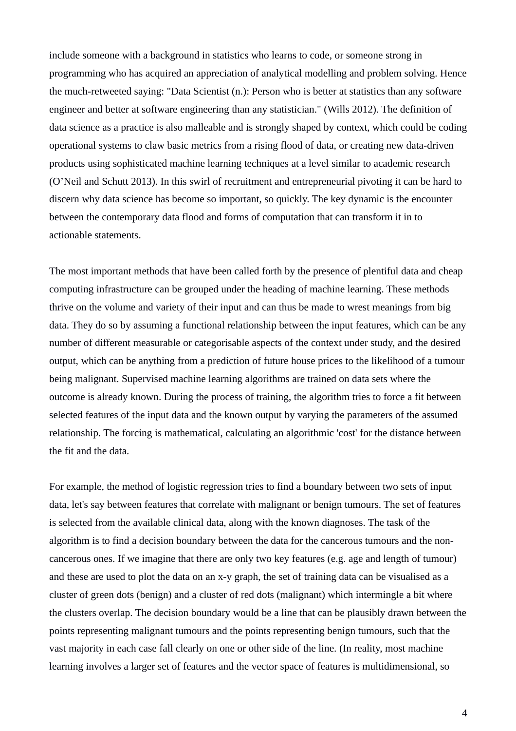include someone with a background in statistics who learns to code, or someone strong in programming who has acquired an appreciation of analytical modelling and problem solving. Hence the much-retweeted saying: "Data Scientist (n.): Person who is better at statistics than any software engineer and better at software engineering than any statistician." (Wills 2012). The definition of data science as a practice is also malleable and is strongly shaped by context, which could be coding operational systems to claw basic metrics from a rising flood of data, or creating new data-driven products using sophisticated machine learning techniques at a level similar to academic research (O'Neil and Schutt 2013). In this swirl of recruitment and entrepreneurial pivoting it can be hard to discern why data science has become so important, so quickly. The key dynamic is the encounter between the contemporary data flood and forms of computation that can transform it in to actionable statements.

The most important methods that have been called forth by the presence of plentiful data and cheap computing infrastructure can be grouped under the heading of machine learning. These methods thrive on the volume and variety of their input and can thus be made to wrest meanings from big data. They do so by assuming a functional relationship between the input features, which can be any number of different measurable or categorisable aspects of the context under study, and the desired output, which can be anything from a prediction of future house prices to the likelihood of a tumour being malignant. Supervised machine learning algorithms are trained on data sets where the outcome is already known. During the process of training, the algorithm tries to force a fit between selected features of the input data and the known output by varying the parameters of the assumed relationship. The forcing is mathematical, calculating an algorithmic 'cost' for the distance between the fit and the data.

For example, the method of logistic regression tries to find a boundary between two sets of input data, let's say between features that correlate with malignant or benign tumours. The set of features is selected from the available clinical data, along with the known diagnoses. The task of the algorithm is to find a decision boundary between the data for the cancerous tumours and the noncancerous ones. If we imagine that there are only two key features (e.g. age and length of tumour) and these are used to plot the data on an x-y graph, the set of training data can be visualised as a cluster of green dots (benign) and a cluster of red dots (malignant) which intermingle a bit where the clusters overlap. The decision boundary would be a line that can be plausibly drawn between the points representing malignant tumours and the points representing benign tumours, such that the vast majority in each case fall clearly on one or other side of the line. (In reality, most machine learning involves a larger set of features and the vector space of features is multidimensional, so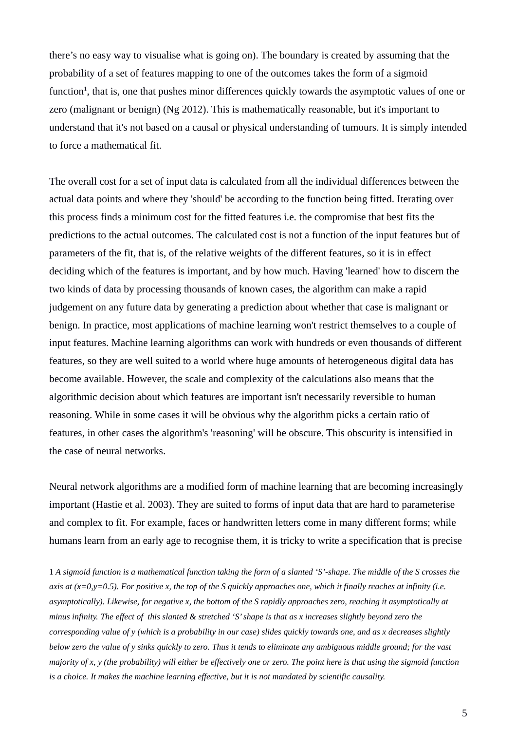there's no easy way to visualise what is going on). The boundary is created by assuming that the probability of a set of features mapping to one of the outcomes takes the form of a sigmoid function<sup>[1](#page-4-0)</sup>, that is, one that pushes minor differences quickly towards the asymptotic values of one or zero (malignant or benign) (Ng 2012). This is mathematically reasonable, but it's important to understand that it's not based on a causal or physical understanding of tumours. It is simply intended to force a mathematical fit.

The overall cost for a set of input data is calculated from all the individual differences between the actual data points and where they 'should' be according to the function being fitted. Iterating over this process finds a minimum cost for the fitted features i.e. the compromise that best fits the predictions to the actual outcomes. The calculated cost is not a function of the input features but of parameters of the fit, that is, of the relative weights of the different features, so it is in effect deciding which of the features is important, and by how much. Having 'learned' how to discern the two kinds of data by processing thousands of known cases, the algorithm can make a rapid judgement on any future data by generating a prediction about whether that case is malignant or benign. In practice, most applications of machine learning won't restrict themselves to a couple of input features. Machine learning algorithms can work with hundreds or even thousands of different features, so they are well suited to a world where huge amounts of heterogeneous digital data has become available. However, the scale and complexity of the calculations also means that the algorithmic decision about which features are important isn't necessarily reversible to human reasoning. While in some cases it will be obvious why the algorithm picks a certain ratio of features, in other cases the algorithm's 'reasoning' will be obscure. This obscurity is intensified in the case of neural networks.

Neural network algorithms are a modified form of machine learning that are becoming increasingly important (Hastie et al. 2003). They are suited to forms of input data that are hard to parameterise and complex to fit. For example, faces or handwritten letters come in many different forms; while humans learn from an early age to recognise them, it is tricky to write a specification that is precise

<span id="page-4-0"></span>1 *A sigmoid function is a mathematical function taking the form of a slanted 'S'-shape. The middle of the S crosses the axis at (* $x=0, y=0.5$ *). For positive x, the top of the S quickly approaches one, which it finally reaches at infinity (i.e. asymptotically). Likewise, for negative x, the bottom of the S rapidly approaches zero, reaching it asymptotically at minus infinity. The effect of this slanted & stretched 'S' shape is that as x increases slightly beyond zero the corresponding value of y (which is a probability in our case) slides quickly towards one, and as x decreases slightly below zero the value of y sinks quickly to zero. Thus it tends to eliminate any ambiguous middle ground; for the vast majority of x, y (the probability) will either be effectively one or zero. The point here is that using the sigmoid function is a choice. It makes the machine learning effective, but it is not mandated by scientific causality.*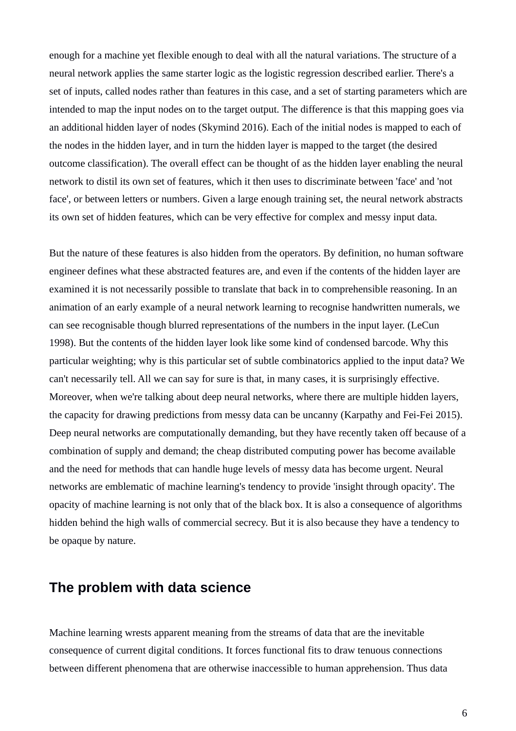enough for a machine yet flexible enough to deal with all the natural variations. The structure of a neural network applies the same starter logic as the logistic regression described earlier. There's a set of inputs, called nodes rather than features in this case, and a set of starting parameters which are intended to map the input nodes on to the target output. The difference is that this mapping goes via an additional hidden layer of nodes (Skymind 2016). Each of the initial nodes is mapped to each of the nodes in the hidden layer, and in turn the hidden layer is mapped to the target (the desired outcome classification). The overall effect can be thought of as the hidden layer enabling the neural network to distil its own set of features, which it then uses to discriminate between 'face' and 'not face', or between letters or numbers. Given a large enough training set, the neural network abstracts its own set of hidden features, which can be very effective for complex and messy input data.

But the nature of these features is also hidden from the operators. By definition, no human software engineer defines what these abstracted features are, and even if the contents of the hidden layer are examined it is not necessarily possible to translate that back in to comprehensible reasoning. In an animation of an early example of a neural network learning to recognise handwritten numerals, we can see recognisable though blurred representations of the numbers in the input layer. (LeCun 1998). But the contents of the hidden layer look like some kind of condensed barcode. Why this particular weighting; why is this particular set of subtle combinatorics applied to the input data? We can't necessarily tell. All we can say for sure is that, in many cases, it is surprisingly effective. Moreover, when we're talking about deep neural networks, where there are multiple hidden layers, the capacity for drawing predictions from messy data can be uncanny (Karpathy and Fei-Fei 2015). Deep neural networks are computationally demanding, but they have recently taken off because of a combination of supply and demand; the cheap distributed computing power has become available and the need for methods that can handle huge levels of messy data has become urgent. Neural networks are emblematic of machine learning's tendency to provide 'insight through opacity'. The opacity of machine learning is not only that of the black box. It is also a consequence of algorithms hidden behind the high walls of commercial secrecy. But it is also because they have a tendency to be opaque by nature.

#### **The problem with data science**

Machine learning wrests apparent meaning from the streams of data that are the inevitable consequence of current digital conditions. It forces functional fits to draw tenuous connections between different phenomena that are otherwise inaccessible to human apprehension. Thus data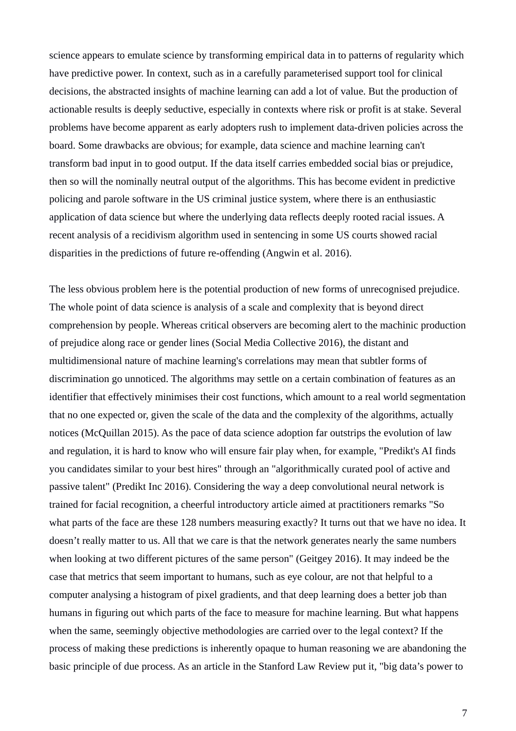science appears to emulate science by transforming empirical data in to patterns of regularity which have predictive power. In context, such as in a carefully parameterised support tool for clinical decisions, the abstracted insights of machine learning can add a lot of value. But the production of actionable results is deeply seductive, especially in contexts where risk or profit is at stake. Several problems have become apparent as early adopters rush to implement data-driven policies across the board. Some drawbacks are obvious; for example, data science and machine learning can't transform bad input in to good output. If the data itself carries embedded social bias or prejudice, then so will the nominally neutral output of the algorithms. This has become evident in predictive policing and parole software in the US criminal justice system, where there is an enthusiastic application of data science but where the underlying data reflects deeply rooted racial issues. A recent analysis of a recidivism algorithm used in sentencing in some US courts showed racial disparities in the predictions of future re-offending (Angwin et al. 2016).

The less obvious problem here is the potential production of new forms of unrecognised prejudice. The whole point of data science is analysis of a scale and complexity that is beyond direct comprehension by people. Whereas critical observers are becoming alert to the machinic production of prejudice along race or gender lines (Social Media Collective 2016), the distant and multidimensional nature of machine learning's correlations may mean that subtler forms of discrimination go unnoticed. The algorithms may settle on a certain combination of features as an identifier that effectively minimises their cost functions, which amount to a real world segmentation that no one expected or, given the scale of the data and the complexity of the algorithms, actually notices (McQuillan 2015). As the pace of data science adoption far outstrips the evolution of law and regulation, it is hard to know who will ensure fair play when, for example, "Predikt's AI finds you candidates similar to your best hires" through an "algorithmically curated pool of active and passive talent" (Predikt Inc 2016). Considering the way a deep convolutional neural network is trained for facial recognition, a cheerful introductory article aimed at practitioners remarks "So what parts of the face are these 128 numbers measuring exactly? It turns out that we have no idea. It doesn't really matter to us. All that we care is that the network generates nearly the same numbers when looking at two different pictures of the same person" (Geitgey 2016). It may indeed be the case that metrics that seem important to humans, such as eye colour, are not that helpful to a computer analysing a histogram of pixel gradients, and that deep learning does a better job than humans in figuring out which parts of the face to measure for machine learning. But what happens when the same, seemingly objective methodologies are carried over to the legal context? If the process of making these predictions is inherently opaque to human reasoning we are abandoning the basic principle of due process. As an article in the Stanford Law Review put it, "big data's power to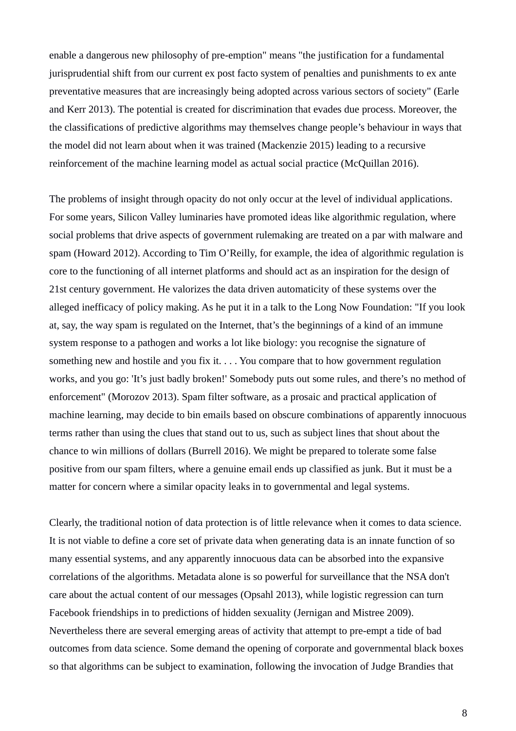enable a dangerous new philosophy of pre-emption" means "the justification for a fundamental jurisprudential shift from our current ex post facto system of penalties and punishments to ex ante preventative measures that are increasingly being adopted across various sectors of society" (Earle and Kerr 2013). The potential is created for discrimination that evades due process. Moreover, the the classifications of predictive algorithms may themselves change people's behaviour in ways that the model did not learn about when it was trained (Mackenzie 2015) leading to a recursive reinforcement of the machine learning model as actual social practice (McQuillan 2016).

The problems of insight through opacity do not only occur at the level of individual applications. For some years, Silicon Valley luminaries have promoted ideas like algorithmic regulation, where social problems that drive aspects of government rulemaking are treated on a par with malware and spam (Howard 2012). According to Tim O'Reilly, for example, the idea of algorithmic regulation is core to the functioning of all internet platforms and should act as an inspiration for the design of 21st century government. He valorizes the data driven automaticity of these systems over the alleged inefficacy of policy making. As he put it in a talk to the Long Now Foundation: "If you look at, say, the way spam is regulated on the Internet, that's the beginnings of a kind of an immune system response to a pathogen and works a lot like biology: you recognise the signature of something new and hostile and you fix it. . . . You compare that to how government regulation works, and you go: 'It's just badly broken!' Somebody puts out some rules, and there's no method of enforcement" (Morozov 2013). Spam filter software, as a prosaic and practical application of machine learning, may decide to bin emails based on obscure combinations of apparently innocuous terms rather than using the clues that stand out to us, such as subject lines that shout about the chance to win millions of dollars (Burrell 2016). We might be prepared to tolerate some false positive from our spam filters, where a genuine email ends up classified as junk. But it must be a matter for concern where a similar opacity leaks in to governmental and legal systems.

Clearly, the traditional notion of data protection is of little relevance when it comes to data science. It is not viable to define a core set of private data when generating data is an innate function of so many essential systems, and any apparently innocuous data can be absorbed into the expansive correlations of the algorithms. Metadata alone is so powerful for surveillance that the NSA don't care about the actual content of our messages (Opsahl 2013), while logistic regression can turn Facebook friendships in to predictions of hidden sexuality (Jernigan and Mistree 2009). Nevertheless there are several emerging areas of activity that attempt to pre-empt a tide of bad outcomes from data science. Some demand the opening of corporate and governmental black boxes so that algorithms can be subject to examination, following the invocation of Judge Brandies that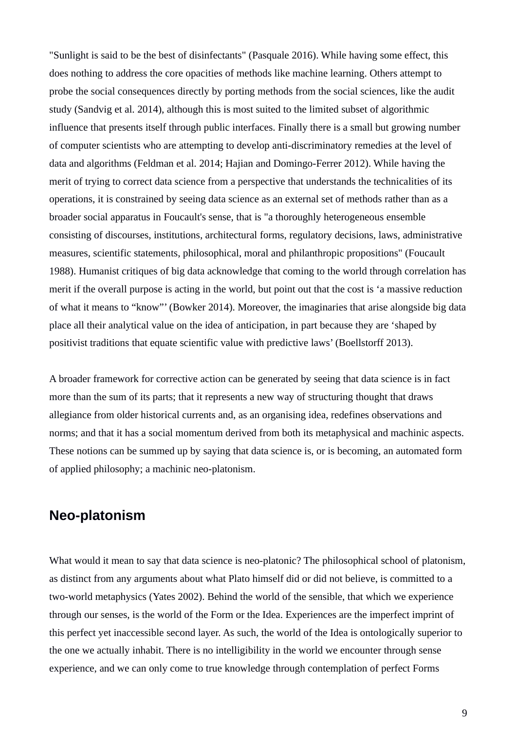"Sunlight is said to be the best of disinfectants" (Pasquale 2016). While having some effect, this does nothing to address the core opacities of methods like machine learning. Others attempt to probe the social consequences directly by porting methods from the social sciences, like the audit study (Sandvig et al. 2014), although this is most suited to the limited subset of algorithmic influence that presents itself through public interfaces. Finally there is a small but growing number of computer scientists who are attempting to develop anti-discriminatory remedies at the level of data and algorithms (Feldman et al. 2014; Hajian and Domingo-Ferrer 2012). While having the merit of trying to correct data science from a perspective that understands the technicalities of its operations, it is constrained by seeing data science as an external set of methods rather than as a broader social apparatus in Foucault's sense, that is "a thoroughly heterogeneous ensemble consisting of discourses, institutions, architectural forms, regulatory decisions, laws, administrative measures, scientific statements, philosophical, moral and philanthropic propositions" (Foucault 1988). Humanist critiques of big data acknowledge that coming to the world through correlation has merit if the overall purpose is acting in the world, but point out that the cost is 'a massive reduction of what it means to "know"' (Bowker 2014). Moreover, the imaginaries that arise alongside big data place all their analytical value on the idea of anticipation, in part because they are 'shaped by positivist traditions that equate scientific value with predictive laws' (Boellstorff 2013).

A broader framework for corrective action can be generated by seeing that data science is in fact more than the sum of its parts; that it represents a new way of structuring thought that draws allegiance from older historical currents and, as an organising idea, redefines observations and norms; and that it has a social momentum derived from both its metaphysical and machinic aspects. These notions can be summed up by saying that data science is, or is becoming, an automated form of applied philosophy; a machinic neo-platonism.

# **Neo-platonism**

What would it mean to say that data science is neo-platonic? The philosophical school of platonism, as distinct from any arguments about what Plato himself did or did not believe, is committed to a two-world metaphysics (Yates 2002). Behind the world of the sensible, that which we experience through our senses, is the world of the Form or the Idea. Experiences are the imperfect imprint of this perfect yet inaccessible second layer. As such, the world of the Idea is ontologically superior to the one we actually inhabit. There is no intelligibility in the world we encounter through sense experience, and we can only come to true knowledge through contemplation of perfect Forms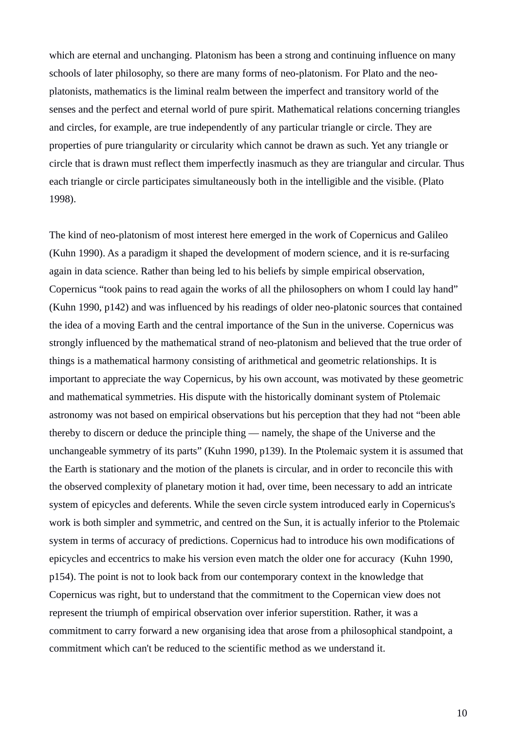which are eternal and unchanging. Platonism has been a strong and continuing influence on many schools of later philosophy, so there are many forms of neo-platonism. For Plato and the neoplatonists, mathematics is the liminal realm between the imperfect and transitory world of the senses and the perfect and eternal world of pure spirit. Mathematical relations concerning triangles and circles, for example, are true independently of any particular triangle or circle. They are properties of pure triangularity or circularity which cannot be drawn as such. Yet any triangle or circle that is drawn must reflect them imperfectly inasmuch as they are triangular and circular. Thus each triangle or circle participates simultaneously both in the intelligible and the visible. (Plato 1998).

The kind of neo-platonism of most interest here emerged in the work of Copernicus and Galileo (Kuhn 1990). As a paradigm it shaped the development of modern science, and it is re-surfacing again in data science. Rather than being led to his beliefs by simple empirical observation, Copernicus "took pains to read again the works of all the philosophers on whom I could lay hand" (Kuhn 1990, p142) and was influenced by his readings of older neo-platonic sources that contained the idea of a moving Earth and the central importance of the Sun in the universe. Copernicus was strongly influenced by the mathematical strand of neo-platonism and believed that the true order of things is a mathematical harmony consisting of arithmetical and geometric relationships. It is important to appreciate the way Copernicus, by his own account, was motivated by these geometric and mathematical symmetries. His dispute with the historically dominant system of Ptolemaic astronomy was not based on empirical observations but his perception that they had not "been able thereby to discern or deduce the principle thing — namely, the shape of the Universe and the unchangeable symmetry of its parts" (Kuhn 1990, p139). In the Ptolemaic system it is assumed that the Earth is stationary and the motion of the planets is circular, and in order to reconcile this with the observed complexity of planetary motion it had, over time, been necessary to add an intricate system of epicycles and deferents. While the seven circle system introduced early in Copernicus's work is both simpler and symmetric, and centred on the Sun, it is actually inferior to the Ptolemaic system in terms of accuracy of predictions. Copernicus had to introduce his own modifications of epicycles and eccentrics to make his version even match the older one for accuracy (Kuhn 1990, p154). The point is not to look back from our contemporary context in the knowledge that Copernicus was right, but to understand that the commitment to the Copernican view does not represent the triumph of empirical observation over inferior superstition. Rather, it was a commitment to carry forward a new organising idea that arose from a philosophical standpoint, a commitment which can't be reduced to the scientific method as we understand it.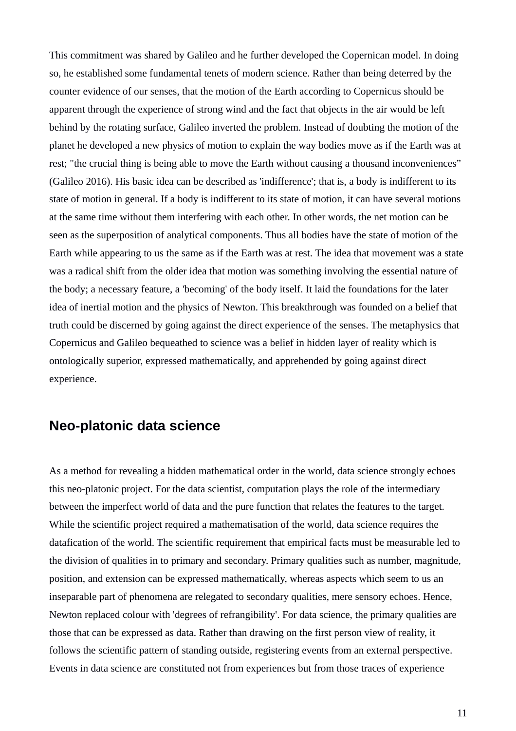This commitment was shared by Galileo and he further developed the Copernican model. In doing so, he established some fundamental tenets of modern science. Rather than being deterred by the counter evidence of our senses, that the motion of the Earth according to Copernicus should be apparent through the experience of strong wind and the fact that objects in the air would be left behind by the rotating surface, Galileo inverted the problem. Instead of doubting the motion of the planet he developed a new physics of motion to explain the way bodies move as if the Earth was at rest; "the crucial thing is being able to move the Earth without causing a thousand inconveniences" (Galileo 2016). His basic idea can be described as 'indifference'; that is, a body is indifferent to its state of motion in general. If a body is indifferent to its state of motion, it can have several motions at the same time without them interfering with each other. In other words, the net motion can be seen as the superposition of analytical components. Thus all bodies have the state of motion of the Earth while appearing to us the same as if the Earth was at rest. The idea that movement was a state was a radical shift from the older idea that motion was something involving the essential nature of the body; a necessary feature, a 'becoming' of the body itself. It laid the foundations for the later idea of inertial motion and the physics of Newton. This breakthrough was founded on a belief that truth could be discerned by going against the direct experience of the senses. The metaphysics that Copernicus and Galileo bequeathed to science was a belief in hidden layer of reality which is ontologically superior, expressed mathematically, and apprehended by going against direct experience.

## **Neo-platonic data science**

As a method for revealing a hidden mathematical order in the world, data science strongly echoes this neo-platonic project. For the data scientist, computation plays the role of the intermediary between the imperfect world of data and the pure function that relates the features to the target. While the scientific project required a mathematisation of the world, data science requires the datafication of the world. The scientific requirement that empirical facts must be measurable led to the division of qualities in to primary and secondary. Primary qualities such as number, magnitude, position, and extension can be expressed mathematically, whereas aspects which seem to us an inseparable part of phenomena are relegated to secondary qualities, mere sensory echoes. Hence, Newton replaced colour with 'degrees of refrangibility'. For data science, the primary qualities are those that can be expressed as data. Rather than drawing on the first person view of reality, it follows the scientific pattern of standing outside, registering events from an external perspective. Events in data science are constituted not from experiences but from those traces of experience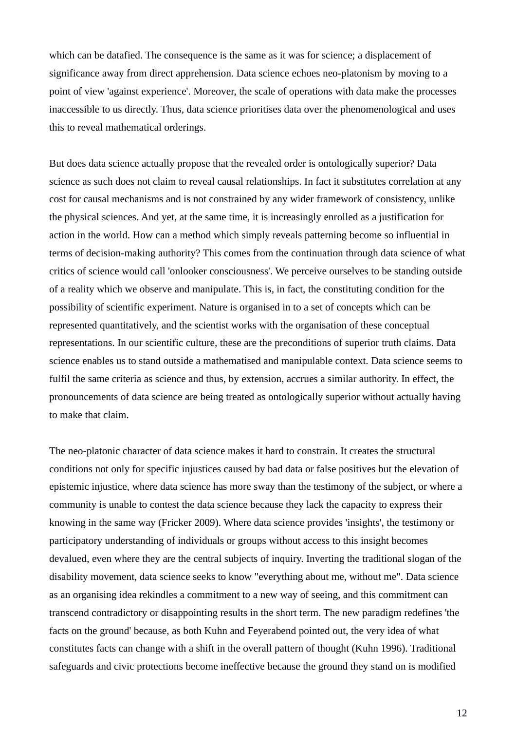which can be datafied. The consequence is the same as it was for science; a displacement of significance away from direct apprehension. Data science echoes neo-platonism by moving to a point of view 'against experience'. Moreover, the scale of operations with data make the processes inaccessible to us directly. Thus, data science prioritises data over the phenomenological and uses this to reveal mathematical orderings.

But does data science actually propose that the revealed order is ontologically superior? Data science as such does not claim to reveal causal relationships. In fact it substitutes correlation at any cost for causal mechanisms and is not constrained by any wider framework of consistency, unlike the physical sciences. And yet, at the same time, it is increasingly enrolled as a justification for action in the world. How can a method which simply reveals patterning become so influential in terms of decision-making authority? This comes from the continuation through data science of what critics of science would call 'onlooker consciousness'. We perceive ourselves to be standing outside of a reality which we observe and manipulate. This is, in fact, the constituting condition for the possibility of scientific experiment. Nature is organised in to a set of concepts which can be represented quantitatively, and the scientist works with the organisation of these conceptual representations. In our scientific culture, these are the preconditions of superior truth claims. Data science enables us to stand outside a mathematised and manipulable context. Data science seems to fulfil the same criteria as science and thus, by extension, accrues a similar authority. In effect, the pronouncements of data science are being treated as ontologically superior without actually having to make that claim.

The neo-platonic character of data science makes it hard to constrain. It creates the structural conditions not only for specific injustices caused by bad data or false positives but the elevation of epistemic injustice, where data science has more sway than the testimony of the subject, or where a community is unable to contest the data science because they lack the capacity to express their knowing in the same way (Fricker 2009). Where data science provides 'insights', the testimony or participatory understanding of individuals or groups without access to this insight becomes devalued, even where they are the central subjects of inquiry. Inverting the traditional slogan of the disability movement, data science seeks to know "everything about me, without me". Data science as an organising idea rekindles a commitment to a new way of seeing, and this commitment can transcend contradictory or disappointing results in the short term. The new paradigm redefines 'the facts on the ground' because, as both Kuhn and Feyerabend pointed out, the very idea of what constitutes facts can change with a shift in the overall pattern of thought (Kuhn 1996). Traditional safeguards and civic protections become ineffective because the ground they stand on is modified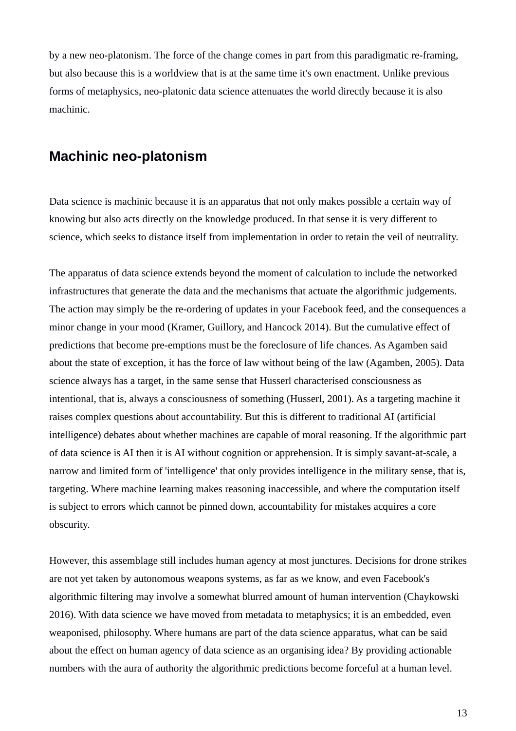by a new neo-platonism. The force of the change comes in part from this paradigmatic re-framing, but also because this is a worldview that is at the same time it's own enactment. Unlike previous forms of metaphysics, neo-platonic data science attenuates the world directly because it is also machinic.

#### **Machinic neo-platonism**

Data science is machinic because it is an apparatus that not only makes possible a certain way of knowing but also acts directly on the knowledge produced. In that sense it is very different to science, which seeks to distance itself from implementation in order to retain the veil of neutrality.

The apparatus of data science extends beyond the moment of calculation to include the networked infrastructures that generate the data and the mechanisms that actuate the algorithmic judgements. The action may simply be the re-ordering of updates in your Facebook feed, and the consequences a minor change in your mood (Kramer, Guillory, and Hancock 2014). But the cumulative effect of predictions that become pre-emptions must be the foreclosure of life chances. As Agamben said about the state of exception, it has the force of law without being of the law (Agamben, 2005). Data science always has a target, in the same sense that Husserl characterised consciousness as intentional, that is, always a consciousness of something (Husserl, 2001). As a targeting machine it raises complex questions about accountability. But this is different to traditional AI (artificial intelligence) debates about whether machines are capable of moral reasoning. If the algorithmic part of data science is AI then it is AI without cognition or apprehension. It is simply savant-at-scale, a narrow and limited form of 'intelligence' that only provides intelligence in the military sense, that is, targeting. Where machine learning makes reasoning inaccessible, and where the computation itself is subject to errors which cannot be pinned down, accountability for mistakes acquires a core obscurity.

However, this assemblage still includes human agency at most junctures. Decisions for drone strikes are not yet taken by autonomous weapons systems, as far as we know, and even Facebook's algorithmic filtering may involve a somewhat blurred amount of human intervention (Chaykowski 2016). With data science we have moved from metadata to metaphysics; it is an embedded, even weaponised, philosophy. Where humans are part of the data science apparatus, what can be said about the effect on human agency of data science as an organising idea? By providing actionable numbers with the aura of authority the algorithmic predictions become forceful at a human level.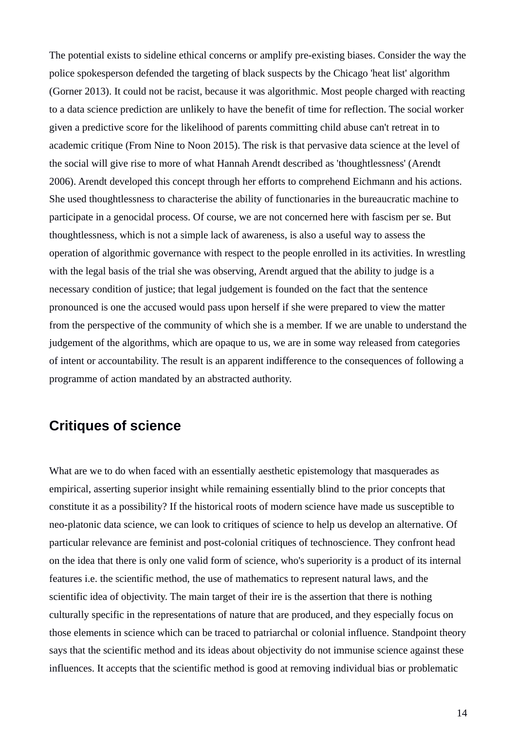The potential exists to sideline ethical concerns or amplify pre-existing biases. Consider the way the police spokesperson defended the targeting of black suspects by the Chicago 'heat list' algorithm (Gorner 2013). It could not be racist, because it was algorithmic. Most people charged with reacting to a data science prediction are unlikely to have the benefit of time for reflection. The social worker given a predictive score for the likelihood of parents committing child abuse can't retreat in to academic critique (From Nine to Noon 2015). The risk is that pervasive data science at the level of the social will give rise to more of what Hannah Arendt described as 'thoughtlessness' (Arendt 2006). Arendt developed this concept through her efforts to comprehend Eichmann and his actions. She used thoughtlessness to characterise the ability of functionaries in the bureaucratic machine to participate in a genocidal process. Of course, we are not concerned here with fascism per se. But thoughtlessness, which is not a simple lack of awareness, is also a useful way to assess the operation of algorithmic governance with respect to the people enrolled in its activities. In wrestling with the legal basis of the trial she was observing, Arendt argued that the ability to judge is a necessary condition of justice; that legal judgement is founded on the fact that the sentence pronounced is one the accused would pass upon herself if she were prepared to view the matter from the perspective of the community of which she is a member. If we are unable to understand the judgement of the algorithms, which are opaque to us, we are in some way released from categories of intent or accountability. The result is an apparent indifference to the consequences of following a programme of action mandated by an abstracted authority.

## **Critiques of science**

What are we to do when faced with an essentially aesthetic epistemology that masquerades as empirical, asserting superior insight while remaining essentially blind to the prior concepts that constitute it as a possibility? If the historical roots of modern science have made us susceptible to neo-platonic data science, we can look to critiques of science to help us develop an alternative. Of particular relevance are feminist and post-colonial critiques of technoscience. They confront head on the idea that there is only one valid form of science, who's superiority is a product of its internal features i.e. the scientific method, the use of mathematics to represent natural laws, and the scientific idea of objectivity. The main target of their ire is the assertion that there is nothing culturally specific in the representations of nature that are produced, and they especially focus on those elements in science which can be traced to patriarchal or colonial influence. Standpoint theory says that the scientific method and its ideas about objectivity do not immunise science against these influences. It accepts that the scientific method is good at removing individual bias or problematic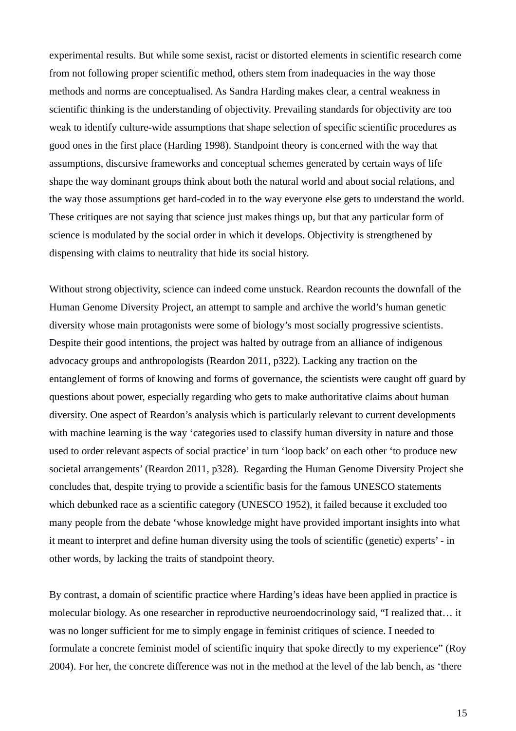experimental results. But while some sexist, racist or distorted elements in scientific research come from not following proper scientific method, others stem from inadequacies in the way those methods and norms are conceptualised. As Sandra Harding makes clear, a central weakness in scientific thinking is the understanding of objectivity. Prevailing standards for objectivity are too weak to identify culture-wide assumptions that shape selection of specific scientific procedures as good ones in the first place (Harding 1998). Standpoint theory is concerned with the way that assumptions, discursive frameworks and conceptual schemes generated by certain ways of life shape the way dominant groups think about both the natural world and about social relations, and the way those assumptions get hard-coded in to the way everyone else gets to understand the world. These critiques are not saying that science just makes things up, but that any particular form of science is modulated by the social order in which it develops. Objectivity is strengthened by dispensing with claims to neutrality that hide its social history.

Without strong objectivity, science can indeed come unstuck. Reardon recounts the downfall of the Human Genome Diversity Project, an attempt to sample and archive the world's human genetic diversity whose main protagonists were some of biology's most socially progressive scientists. Despite their good intentions, the project was halted by outrage from an alliance of indigenous advocacy groups and anthropologists (Reardon 2011, p322). Lacking any traction on the entanglement of forms of knowing and forms of governance, the scientists were caught off guard by questions about power, especially regarding who gets to make authoritative claims about human diversity. One aspect of Reardon's analysis which is particularly relevant to current developments with machine learning is the way 'categories used to classify human diversity in nature and those used to order relevant aspects of social practice' in turn 'loop back' on each other 'to produce new societal arrangements' (Reardon 2011, p328). Regarding the Human Genome Diversity Project she concludes that, despite trying to provide a scientific basis for the famous UNESCO statements which debunked race as a scientific category (UNESCO 1952), it failed because it excluded too many people from the debate 'whose knowledge might have provided important insights into what it meant to interpret and define human diversity using the tools of scientific (genetic) experts' - in other words, by lacking the traits of standpoint theory.

By contrast, a domain of scientific practice where Harding's ideas have been applied in practice is molecular biology. As one researcher in reproductive neuroendocrinology said, "I realized that… it was no longer sufficient for me to simply engage in feminist critiques of science. I needed to formulate a concrete feminist model of scientific inquiry that spoke directly to my experience" (Roy 2004). For her, the concrete difference was not in the method at the level of the lab bench, as 'there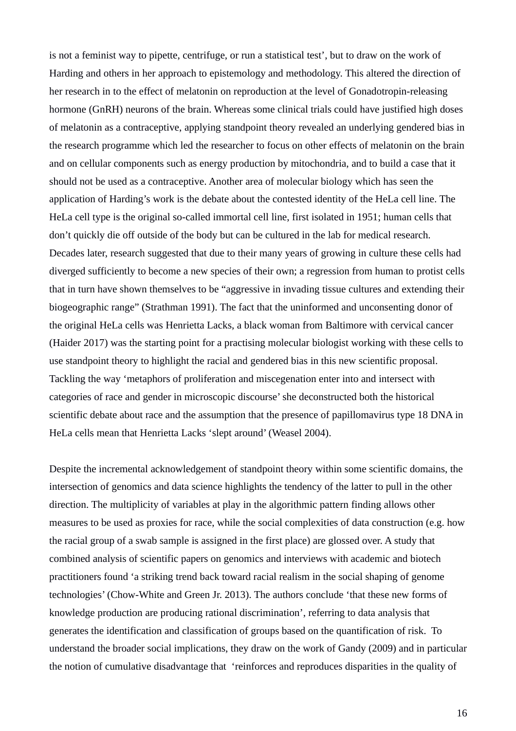is not a feminist way to pipette, centrifuge, or run a statistical test', but to draw on the work of Harding and others in her approach to epistemology and methodology. This altered the direction of her research in to the effect of melatonin on reproduction at the level of Gonadotropin-releasing hormone (GnRH) neurons of the brain. Whereas some clinical trials could have justified high doses of melatonin as a contraceptive, applying standpoint theory revealed an underlying gendered bias in the research programme which led the researcher to focus on other effects of melatonin on the brain and on cellular components such as energy production by mitochondria, and to build a case that it should not be used as a contraceptive. Another area of molecular biology which has seen the application of Harding's work is the debate about the contested identity of the HeLa cell line. The HeLa cell type is the original so-called immortal cell line, first isolated in 1951; human cells that don't quickly die off outside of the body but can be cultured in the lab for medical research. Decades later, research suggested that due to their many years of growing in culture these cells had diverged sufficiently to become a new species of their own; a regression from human to protist cells that in turn have shown themselves to be "aggressive in invading tissue cultures and extending their biogeographic range" (Strathman 1991). The fact that the uninformed and unconsenting donor of the original HeLa cells was Henrietta Lacks, a black woman from Baltimore with cervical cancer (Haider 2017) was the starting point for a practising molecular biologist working with these cells to use standpoint theory to highlight the racial and gendered bias in this new scientific proposal. Tackling the way 'metaphors of proliferation and miscegenation enter into and intersect with categories of race and gender in microscopic discourse' she deconstructed both the historical scientific debate about race and the assumption that the presence of papillomavirus type 18 DNA in HeLa cells mean that Henrietta Lacks 'slept around' (Weasel 2004).

Despite the incremental acknowledgement of standpoint theory within some scientific domains, the intersection of genomics and data science highlights the tendency of the latter to pull in the other direction. The multiplicity of variables at play in the algorithmic pattern finding allows other measures to be used as proxies for race, while the social complexities of data construction (e.g. how the racial group of a swab sample is assigned in the first place) are glossed over. A study that combined analysis of scientific papers on genomics and interviews with academic and biotech practitioners found 'a striking trend back toward racial realism in the social shaping of genome technologies' (Chow-White and Green Jr. 2013). The authors conclude 'that these new forms of knowledge production are producing rational discrimination', referring to data analysis that generates the identification and classification of groups based on the quantification of risk. To understand the broader social implications, they draw on the work of Gandy (2009) and in particular the notion of cumulative disadvantage that 'reinforces and reproduces disparities in the quality of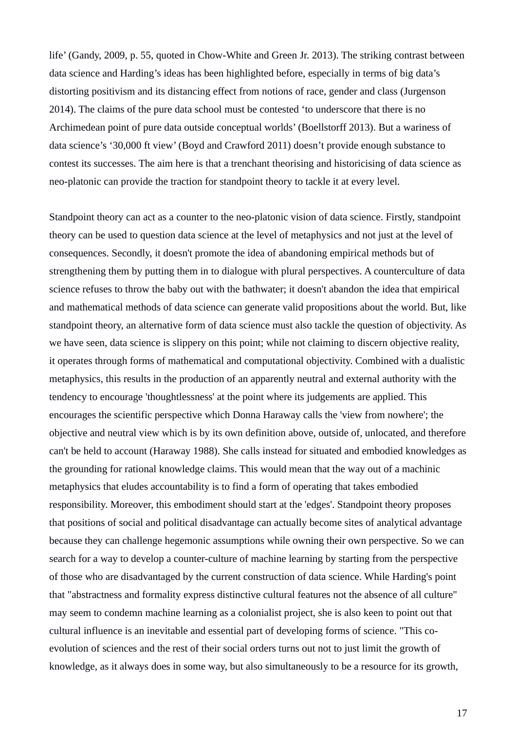life' (Gandy, 2009, p. 55, quoted in Chow-White and Green Jr. 2013). The striking contrast between data science and Harding's ideas has been highlighted before, especially in terms of big data's distorting positivism and its distancing effect from notions of race, gender and class (Jurgenson 2014). The claims of the pure data school must be contested 'to underscore that there is no Archimedean point of pure data outside conceptual worlds' (Boellstorff 2013). But a wariness of data science's '30,000 ft view' (Boyd and Crawford 2011) doesn't provide enough substance to contest its successes. The aim here is that a trenchant theorising and historicising of data science as neo-platonic can provide the traction for standpoint theory to tackle it at every level.

Standpoint theory can act as a counter to the neo-platonic vision of data science. Firstly, standpoint theory can be used to question data science at the level of metaphysics and not just at the level of consequences. Secondly, it doesn't promote the idea of abandoning empirical methods but of strengthening them by putting them in to dialogue with plural perspectives. A counterculture of data science refuses to throw the baby out with the bathwater; it doesn't abandon the idea that empirical and mathematical methods of data science can generate valid propositions about the world. But, like standpoint theory, an alternative form of data science must also tackle the question of objectivity. As we have seen, data science is slippery on this point; while not claiming to discern objective reality, it operates through forms of mathematical and computational objectivity. Combined with a dualistic metaphysics, this results in the production of an apparently neutral and external authority with the tendency to encourage 'thoughtlessness' at the point where its judgements are applied. This encourages the scientific perspective which Donna Haraway calls the 'view from nowhere'; the objective and neutral view which is by its own definition above, outside of, unlocated, and therefore can't be held to account (Haraway 1988). She calls instead for situated and embodied knowledges as the grounding for rational knowledge claims. This would mean that the way out of a machinic metaphysics that eludes accountability is to find a form of operating that takes embodied responsibility. Moreover, this embodiment should start at the 'edges'. Standpoint theory proposes that positions of social and political disadvantage can actually become sites of analytical advantage because they can challenge hegemonic assumptions while owning their own perspective. So we can search for a way to develop a counter-culture of machine learning by starting from the perspective of those who are disadvantaged by the current construction of data science. While Harding's point that "abstractness and formality express distinctive cultural features not the absence of all culture" may seem to condemn machine learning as a colonialist project, she is also keen to point out that cultural influence is an inevitable and essential part of developing forms of science. "This coevolution of sciences and the rest of their social orders turns out not to just limit the growth of knowledge, as it always does in some way, but also simultaneously to be a resource for its growth,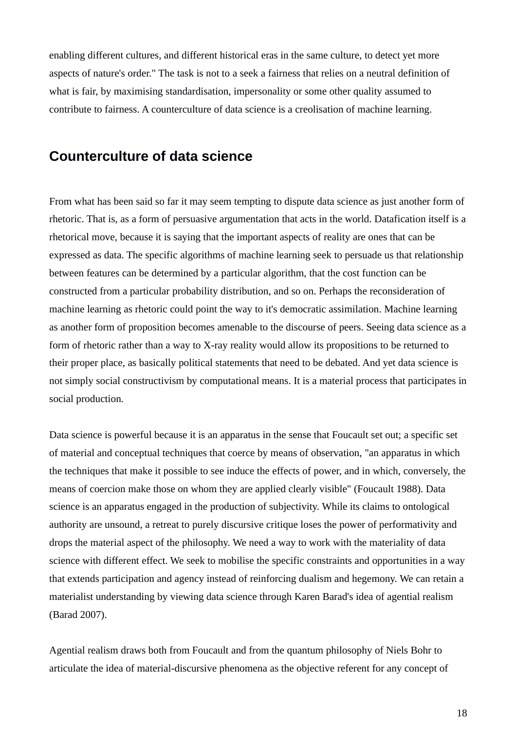enabling different cultures, and different historical eras in the same culture, to detect yet more aspects of nature's order." The task is not to a seek a fairness that relies on a neutral definition of what is fair, by maximising standardisation, impersonality or some other quality assumed to contribute to fairness. A counterculture of data science is a creolisation of machine learning.

#### **Counterculture of data science**

From what has been said so far it may seem tempting to dispute data science as just another form of rhetoric. That is, as a form of persuasive argumentation that acts in the world. Datafication itself is a rhetorical move, because it is saying that the important aspects of reality are ones that can be expressed as data. The specific algorithms of machine learning seek to persuade us that relationship between features can be determined by a particular algorithm, that the cost function can be constructed from a particular probability distribution, and so on. Perhaps the reconsideration of machine learning as rhetoric could point the way to it's democratic assimilation. Machine learning as another form of proposition becomes amenable to the discourse of peers. Seeing data science as a form of rhetoric rather than a way to X-ray reality would allow its propositions to be returned to their proper place, as basically political statements that need to be debated. And yet data science is not simply social constructivism by computational means. It is a material process that participates in social production.

Data science is powerful because it is an apparatus in the sense that Foucault set out; a specific set of material and conceptual techniques that coerce by means of observation, "an apparatus in which the techniques that make it possible to see induce the effects of power, and in which, conversely, the means of coercion make those on whom they are applied clearly visible" (Foucault 1988). Data science is an apparatus engaged in the production of subjectivity. While its claims to ontological authority are unsound, a retreat to purely discursive critique loses the power of performativity and drops the material aspect of the philosophy. We need a way to work with the materiality of data science with different effect. We seek to mobilise the specific constraints and opportunities in a way that extends participation and agency instead of reinforcing dualism and hegemony. We can retain a materialist understanding by viewing data science through Karen Barad's idea of agential realism (Barad 2007).

Agential realism draws both from Foucault and from the quantum philosophy of Niels Bohr to articulate the idea of material-discursive phenomena as the objective referent for any concept of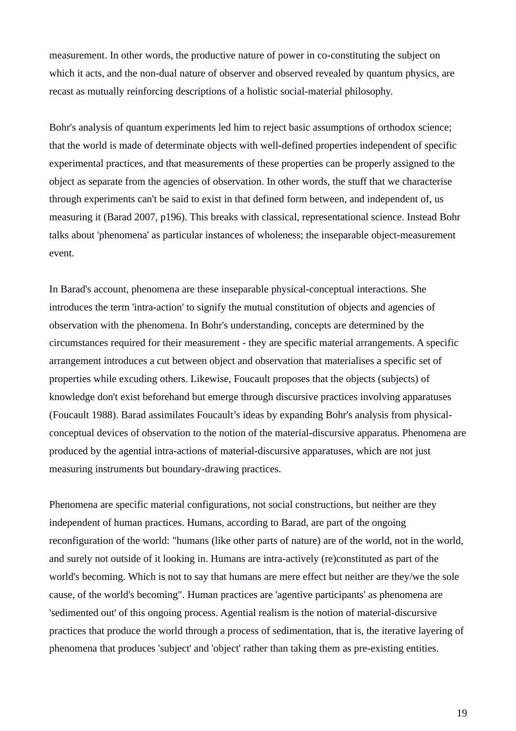measurement. In other words, the productive nature of power in co-constituting the subject on which it acts, and the non-dual nature of observer and observed revealed by quantum physics, are recast as mutually reinforcing descriptions of a holistic social-material philosophy.

Bohr's analysis of quantum experiments led him to reject basic assumptions of orthodox science; that the world is made of determinate objects with well-defined properties independent of specific experimental practices, and that measurements of these properties can be properly assigned to the object as separate from the agencies of observation. In other words, the stuff that we characterise through experiments can't be said to exist in that defined form between, and independent of, us measuring it (Barad 2007, p196). This breaks with classical, representational science. Instead Bohr talks about 'phenomena' as particular instances of wholeness; the inseparable object-measurement event.

In Barad's account, phenomena are these inseparable physical-conceptual interactions. She introduces the term 'intra-action' to signify the mutual constitution of objects and agencies of observation with the phenomena. In Bohr's understanding, concepts are determined by the circumstances required for their measurement - they are specific material arrangements. A specific arrangement introduces a cut between object and observation that materialises a specific set of properties while excuding others. Likewise, Foucault proposes that the objects (subjects) of knowledge don't exist beforehand but emerge through discursive practices involving apparatuses (Foucault 1988). Barad assimilates Foucault's ideas by expanding Bohr's analysis from physicalconceptual devices of observation to the notion of the material-discursive apparatus. Phenomena are produced by the agential intra-actions of material-discursive apparatuses, which are not just measuring instruments but boundary-drawing practices.

Phenomena are specific material configurations, not social constructions, but neither are they independent of human practices. Humans, according to Barad, are part of the ongoing reconfiguration of the world: "humans (like other parts of nature) are of the world, not in the world, and surely not outside of it looking in. Humans are intra-actively (re)constituted as part of the world's becoming. Which is not to say that humans are mere effect but neither are they/we the sole cause, of the world's becoming". Human practices are 'agentive participants' as phenomena are 'sedimented out' of this ongoing process. Agential realism is the notion of material-discursive practices that produce the world through a process of sedimentation, that is, the iterative layering of phenomena that produces 'subject' and 'object' rather than taking them as pre-existing entities.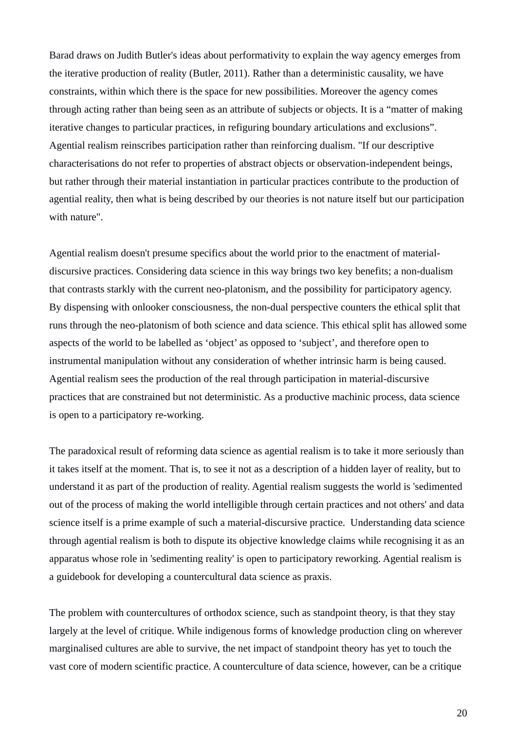Barad draws on Judith Butler's ideas about performativity to explain the way agency emerges from the iterative production of reality (Butler, 2011). Rather than a deterministic causality, we have constraints, within which there is the space for new possibilities. Moreover the agency comes through acting rather than being seen as an attribute of subjects or objects. It is a "matter of making iterative changes to particular practices, in refiguring boundary articulations and exclusions". Agential realism reinscribes participation rather than reinforcing dualism. "If our descriptive characterisations do not refer to properties of abstract objects or observation-independent beings, but rather through their material instantiation in particular practices contribute to the production of agential reality, then what is being described by our theories is not nature itself but our participation with nature".

Agential realism doesn't presume specifics about the world prior to the enactment of materialdiscursive practices. Considering data science in this way brings two key benefits; a non-dualism that contrasts starkly with the current neo-platonism, and the possibility for participatory agency. By dispensing with onlooker consciousness, the non-dual perspective counters the ethical split that runs through the neo-platonism of both science and data science. This ethical split has allowed some aspects of the world to be labelled as 'object' as opposed to 'subject', and therefore open to instrumental manipulation without any consideration of whether intrinsic harm is being caused. Agential realism sees the production of the real through participation in material-discursive practices that are constrained but not deterministic. As a productive machinic process, data science is open to a participatory re-working.

The paradoxical result of reforming data science as agential realism is to take it more seriously than it takes itself at the moment. That is, to see it not as a description of a hidden layer of reality, but to understand it as part of the production of reality. Agential realism suggests the world is 'sedimented out of the process of making the world intelligible through certain practices and not others' and data science itself is a prime example of such a material-discursive practice. Understanding data science through agential realism is both to dispute its objective knowledge claims while recognising it as an apparatus whose role in 'sedimenting reality' is open to participatory reworking. Agential realism is a guidebook for developing a countercultural data science as praxis.

The problem with countercultures of orthodox science, such as standpoint theory, is that they stay largely at the level of critique. While indigenous forms of knowledge production cling on wherever marginalised cultures are able to survive, the net impact of standpoint theory has yet to touch the vast core of modern scientific practice. A counterculture of data science, however, can be a critique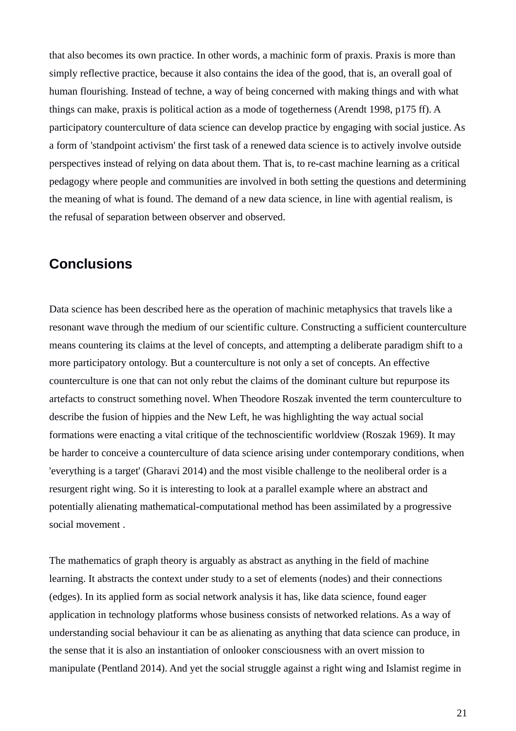that also becomes its own practice. In other words, a machinic form of praxis. Praxis is more than simply reflective practice, because it also contains the idea of the good, that is, an overall goal of human flourishing. Instead of techne, a way of being concerned with making things and with what things can make, praxis is political action as a mode of togetherness (Arendt 1998, p175 ff). A participatory counterculture of data science can develop practice by engaging with social justice. As a form of 'standpoint activism' the first task of a renewed data science is to actively involve outside perspectives instead of relying on data about them. That is, to re-cast machine learning as a critical pedagogy where people and communities are involved in both setting the questions and determining the meaning of what is found. The demand of a new data science, in line with agential realism, is the refusal of separation between observer and observed.

# **Conclusions**

Data science has been described here as the operation of machinic metaphysics that travels like a resonant wave through the medium of our scientific culture. Constructing a sufficient counterculture means countering its claims at the level of concepts, and attempting a deliberate paradigm shift to a more participatory ontology. But a counterculture is not only a set of concepts. An effective counterculture is one that can not only rebut the claims of the dominant culture but repurpose its artefacts to construct something novel. When Theodore Roszak invented the term counterculture to describe the fusion of hippies and the New Left, he was highlighting the way actual social formations were enacting a vital critique of the technoscientific worldview (Roszak 1969). It may be harder to conceive a counterculture of data science arising under contemporary conditions, when 'everything is a target' (Gharavi 2014) and the most visible challenge to the neoliberal order is a resurgent right wing. So it is interesting to look at a parallel example where an abstract and potentially alienating mathematical-computational method has been assimilated by a progressive social movement .

The mathematics of graph theory is arguably as abstract as anything in the field of machine learning. It abstracts the context under study to a set of elements (nodes) and their connections (edges). In its applied form as social network analysis it has, like data science, found eager application in technology platforms whose business consists of networked relations. As a way of understanding social behaviour it can be as alienating as anything that data science can produce, in the sense that it is also an instantiation of onlooker consciousness with an overt mission to manipulate (Pentland 2014). And yet the social struggle against a right wing and Islamist regime in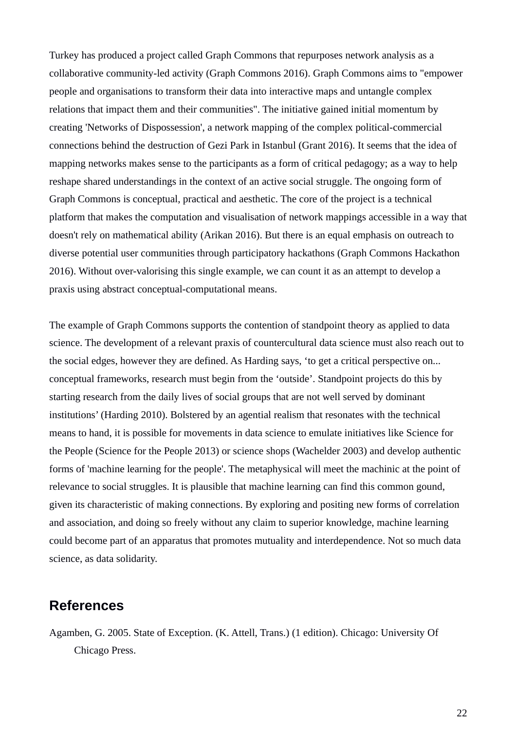Turkey has produced a project called Graph Commons that repurposes network analysis as a collaborative community-led activity (Graph Commons 2016). Graph Commons aims to "empower people and organisations to transform their data into interactive maps and untangle complex relations that impact them and their communities". The initiative gained initial momentum by creating 'Networks of Dispossession', a network mapping of the complex political-commercial connections behind the destruction of Gezi Park in Istanbul (Grant 2016). It seems that the idea of mapping networks makes sense to the participants as a form of critical pedagogy; as a way to help reshape shared understandings in the context of an active social struggle. The ongoing form of Graph Commons is conceptual, practical and aesthetic. The core of the project is a technical platform that makes the computation and visualisation of network mappings accessible in a way that doesn't rely on mathematical ability (Arikan 2016). But there is an equal emphasis on outreach to diverse potential user communities through participatory hackathons (Graph Commons Hackathon 2016). Without over-valorising this single example, we can count it as an attempt to develop a praxis using abstract conceptual-computational means.

The example of Graph Commons supports the contention of standpoint theory as applied to data science. The development of a relevant praxis of countercultural data science must also reach out to the social edges, however they are defined. As Harding says, 'to get a critical perspective on... conceptual frameworks, research must begin from the 'outside'. Standpoint projects do this by starting research from the daily lives of social groups that are not well served by dominant institutions' (Harding 2010). Bolstered by an agential realism that resonates with the technical means to hand, it is possible for movements in data science to emulate initiatives like Science for the People (Science for the People 2013) or science shops (Wachelder 2003) and develop authentic forms of 'machine learning for the people'. The metaphysical will meet the machinic at the point of relevance to social struggles. It is plausible that machine learning can find this common gound, given its characteristic of making connections. By exploring and positing new forms of correlation and association, and doing so freely without any claim to superior knowledge, machine learning could become part of an apparatus that promotes mutuality and interdependence. Not so much data science, as data solidarity.

## **References**

Agamben, G. 2005. State of Exception. (K. Attell, Trans.) (1 edition). Chicago: University Of Chicago Press.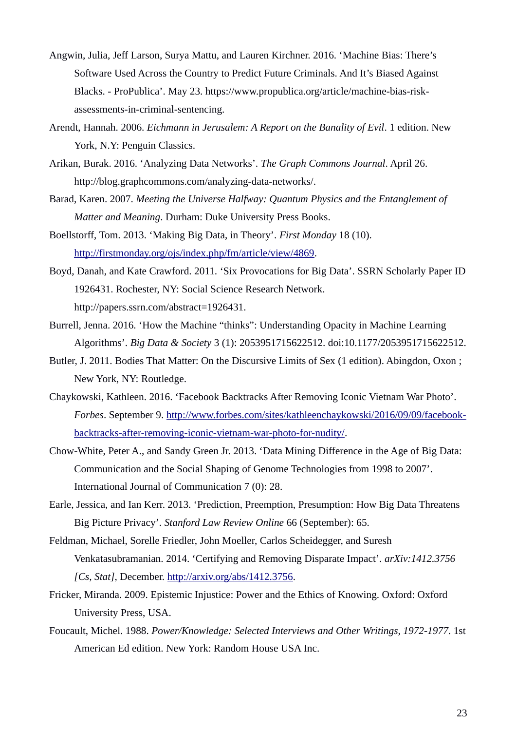- Angwin, Julia, Jeff Larson, Surya Mattu, and Lauren Kirchner. 2016. 'Machine Bias: There's Software Used Across the Country to Predict Future Criminals. And It's Biased Against Blacks. - ProPublica'. May 23. https://www.propublica.org/article/machine-bias-riskassessments-in-criminal-sentencing.
- Arendt, Hannah. 2006. *Eichmann in Jerusalem: A Report on the Banality of Evil*. 1 edition. New York, N.Y: Penguin Classics.
- Arikan, Burak. 2016. 'Analyzing Data Networks'. *The Graph Commons Journal*. April 26. http://blog.graphcommons.com/analyzing-data-networks/.
- Barad, Karen. 2007. *Meeting the Universe Halfway: Quantum Physics and the Entanglement of Matter and Meaning*. Durham: Duke University Press Books.
- Boellstorff, Tom. 2013. 'Making Big Data, in Theory'. *First Monday* 18 (10). [http://firstmonday.org/ojs/index.php/fm/article/view/4869.](http://firstmonday.org/ojs/index.php/fm/article/view/4869)
- Boyd, Danah, and Kate Crawford. 2011. 'Six Provocations for Big Data'. SSRN Scholarly Paper ID 1926431. Rochester, NY: Social Science Research Network. http://papers.ssrn.com/abstract=1926431.
- Burrell, Jenna. 2016. 'How the Machine "thinks": Understanding Opacity in Machine Learning Algorithms'. *Big Data & Society* 3 (1): 2053951715622512. doi:10.1177/2053951715622512.
- Butler, J. 2011. Bodies That Matter: On the Discursive Limits of Sex (1 edition). Abingdon, Oxon ; New York, NY: Routledge.
- Chaykowski, Kathleen. 2016. 'Facebook Backtracks After Removing Iconic Vietnam War Photo'. *Forbes*. September 9. [http://www.forbes.com/sites/kathleenchaykowski/2016/09/09/facebook](http://www.forbes.com/sites/kathleenchaykowski/2016/09/09/facebook-backtracks-after-removing-iconic-vietnam-war-photo-for-nudity/)[backtracks-after-removing-iconic-vietnam-war-photo-for-nudity/.](http://www.forbes.com/sites/kathleenchaykowski/2016/09/09/facebook-backtracks-after-removing-iconic-vietnam-war-photo-for-nudity/)
- Chow-White, Peter A., and Sandy Green Jr. 2013. 'Data Mining Difference in the Age of Big Data: Communication and the Social Shaping of Genome Technologies from 1998 to 2007'. International Journal of Communication 7 (0): 28.
- Earle, Jessica, and Ian Kerr. 2013. 'Prediction, Preemption, Presumption: How Big Data Threatens Big Picture Privacy'. *Stanford Law Review Online* 66 (September): 65.
- Feldman, Michael, Sorelle Friedler, John Moeller, Carlos Scheidegger, and Suresh Venkatasubramanian. 2014. 'Certifying and Removing Disparate Impact'. *arXiv:1412.3756 [Cs, Stat]*, December. [http://arxiv.org/abs/1412.3756.](http://arxiv.org/abs/1412.3756)
- Fricker, Miranda. 2009. Epistemic Injustice: Power and the Ethics of Knowing. Oxford: Oxford University Press, USA.
- Foucault, Michel. 1988. *Power/Knowledge: Selected Interviews and Other Writings, 1972-1977*. 1st American Ed edition. New York: Random House USA Inc.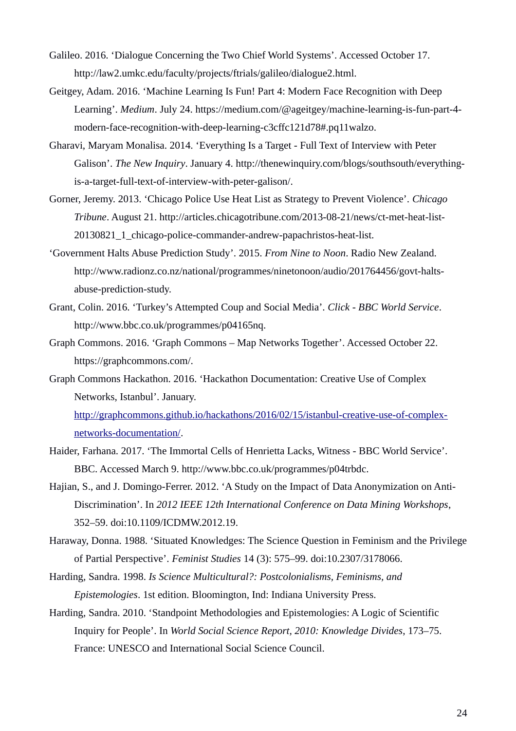- Galileo. 2016. 'Dialogue Concerning the Two Chief World Systems'. Accessed October 17. http://law2.umkc.edu/faculty/projects/ftrials/galileo/dialogue2.html.
- Geitgey, Adam. 2016. 'Machine Learning Is Fun! Part 4: Modern Face Recognition with Deep Learning'. *Medium*. July 24. https://medium.com/@ageitgey/machine-learning-is-fun-part-4 modern-face-recognition-with-deep-learning-c3cffc121d78#.pq11walzo.
- Gharavi, Maryam Monalisa. 2014. 'Everything Is a Target Full Text of Interview with Peter Galison'. *The New Inquiry*. January 4. http://thenewinquiry.com/blogs/southsouth/everythingis-a-target-full-text-of-interview-with-peter-galison/.
- Gorner, Jeremy. 2013. 'Chicago Police Use Heat List as Strategy to Prevent Violence'. *Chicago Tribune*. August 21. http://articles.chicagotribune.com/2013-08-21/news/ct-met-heat-list-20130821\_1\_chicago-police-commander-andrew-papachristos-heat-list.
- 'Government Halts Abuse Prediction Study'. 2015. *From Nine to Noon*. Radio New Zealand. http://www.radionz.co.nz/national/programmes/ninetonoon/audio/201764456/govt-haltsabuse-prediction-study.
- Grant, Colin. 2016. 'Turkey's Attempted Coup and Social Media'. *Click BBC World Service*. http://www.bbc.co.uk/programmes/p04165nq.
- Graph Commons. 2016. 'Graph Commons Map Networks Together'. Accessed October 22. https://graphcommons.com/.
- Graph Commons Hackathon. 2016. 'Hackathon Documentation: Creative Use of Complex Networks, Istanbul'. January. [http://graphcommons.github.io/hackathons/2016/02/15/istanbul-creative-use-of-complex-](http://graphcommons.github.io/hackathons/2016/02/15/istanbul-creative-use-of-complex-networks-documentation/)

[networks-documentation/.](http://graphcommons.github.io/hackathons/2016/02/15/istanbul-creative-use-of-complex-networks-documentation/)

- Haider, Farhana. 2017. 'The Immortal Cells of Henrietta Lacks, Witness BBC World Service'. BBC. Accessed March 9. http://www.bbc.co.uk/programmes/p04trbdc.
- Hajian, S., and J. Domingo-Ferrer. 2012. 'A Study on the Impact of Data Anonymization on Anti-Discrimination'. In *2012 IEEE 12th International Conference on Data Mining Workshops*, 352–59. doi:10.1109/ICDMW.2012.19.
- Haraway, Donna. 1988. 'Situated Knowledges: The Science Question in Feminism and the Privilege of Partial Perspective'. *Feminist Studies* 14 (3): 575–99. doi:10.2307/3178066.
- Harding, Sandra. 1998. *Is Science Multicultural?: Postcolonialisms, Feminisms, and Epistemologies*. 1st edition. Bloomington, Ind: Indiana University Press.
- Harding, Sandra. 2010. 'Standpoint Methodologies and Epistemologies: A Logic of Scientific Inquiry for People'. In *World Social Science Report, 2010: Knowledge Divides*, 173–75. France: UNESCO and International Social Science Council.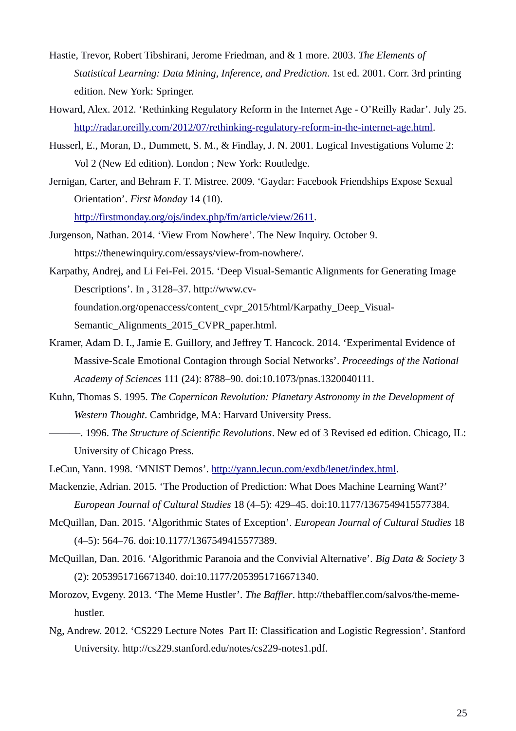- Hastie, Trevor, Robert Tibshirani, Jerome Friedman, and & 1 more. 2003. *The Elements of Statistical Learning: Data Mining, Inference, and Prediction*. 1st ed. 2001. Corr. 3rd printing edition. New York: Springer.
- Howard, Alex. 2012. 'Rethinking Regulatory Reform in the Internet Age O'Reilly Radar'. July 25. [http://radar.oreilly.com/2012/07/rethinking-regulatory-reform-in-the-internet-age.html.](http://radar.oreilly.com/2012/07/rethinking-regulatory-reform-in-the-internet-age.html)
- Husserl, E., Moran, D., Dummett, S. M., & Findlay, J. N. 2001. Logical Investigations Volume 2: Vol 2 (New Ed edition). London ; New York: Routledge.
- Jernigan, Carter, and Behram F. T. Mistree. 2009. 'Gaydar: Facebook Friendships Expose Sexual Orientation'. *First Monday* 14 (10). [http://firstmonday.org/ojs/index.php/fm/article/view/2611.](http://firstmonday.org/ojs/index.php/fm/article/view/2611)
- Jurgenson, Nathan. 2014. 'View From Nowhere'. The New Inquiry. October 9. https://thenewinquiry.com/essays/view-from-nowhere/.
- Karpathy, Andrej, and Li Fei-Fei. 2015. 'Deep Visual-Semantic Alignments for Generating Image Descriptions'. In , 3128–37. http://www.cvfoundation.org/openaccess/content\_cvpr\_2015/html/Karpathy\_Deep\_Visual-

Semantic\_Alignments\_2015\_CVPR\_paper.html.

- Kramer, Adam D. I., Jamie E. Guillory, and Jeffrey T. Hancock. 2014. 'Experimental Evidence of Massive-Scale Emotional Contagion through Social Networks'. *Proceedings of the National Academy of Sciences* 111 (24): 8788–90. doi:10.1073/pnas.1320040111.
- Kuhn, Thomas S. 1995. *The Copernican Revolution: Planetary Astronomy in the Development of Western Thought*. Cambridge, MA: Harvard University Press.
- ———. 1996. *The Structure of Scientific Revolutions*. New ed of 3 Revised ed edition. Chicago, IL: University of Chicago Press.

LeCun, Yann. 1998. 'MNIST Demos'. [http://yann.lecun.com/exdb/lenet/index.html.](http://yann.lecun.com/exdb/lenet/index.html)

- Mackenzie, Adrian. 2015. 'The Production of Prediction: What Does Machine Learning Want?' *European Journal of Cultural Studies* 18 (4–5): 429–45. doi:10.1177/1367549415577384.
- McQuillan, Dan. 2015. 'Algorithmic States of Exception'. *European Journal of Cultural Studies* 18 (4–5): 564–76. doi:10.1177/1367549415577389.
- McQuillan, Dan. 2016. 'Algorithmic Paranoia and the Convivial Alternative'. *Big Data & Society* 3 (2): 2053951716671340. doi:10.1177/2053951716671340.
- Morozov, Evgeny. 2013. 'The Meme Hustler'. *The Baffler*. http://thebaffler.com/salvos/the-memehustler.
- Ng, Andrew. 2012. 'CS229 Lecture Notes Part II: Classification and Logistic Regression'. Stanford University. http://cs229.stanford.edu/notes/cs229-notes1.pdf.